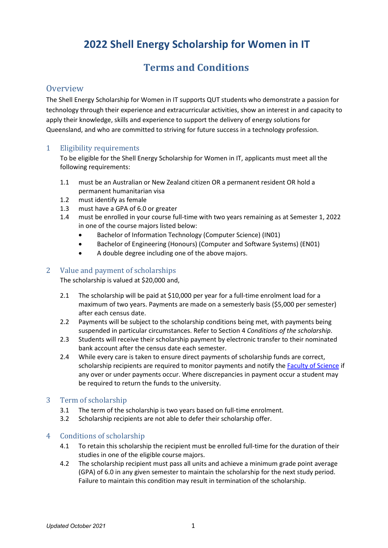# **2022 Shell Energy Scholarship for Women in IT**

## **Terms and Conditions**

### **Overview**

The Shell Energy Scholarship for Women in IT supports QUT students who demonstrate a passion for technology through their experience and extracurricular activities, show an interest in and capacity to apply their knowledge, skills and experience to support the delivery of energy solutions for Queensland, and who are committed to striving for future success in a technology profession.

#### 1 Eligibility requirements

To be eligible for the Shell Energy Scholarship for Women in IT, applicants must meet all the following requirements:

- 1.1 must be an Australian or New Zealand citizen OR a permanent resident OR hold a permanent humanitarian visa
- 1.2 must identify as female
- 1.3 must have a GPA of 6.0 or greater
- 1.4 must be enrolled in your course full-time with two years remaining as at Semester 1, 2022 in one of the course majors listed below:
	- Bachelor of Information Technology (Computer Science) (IN01)
	- Bachelor of Engineering (Honours) (Computer and Software Systems) (EN01)
	- A double degree including one of the above majors.

#### 2 Value and payment of scholarships

The scholarship is valued at \$20,000 and,

- 2.1 The scholarship will be paid at \$10,000 per year for a full-time enrolment load for a maximum of two years. Payments are made on a semesterly basis (\$5,000 per semester) after each census date.
- 2.2 Payments will be subject to the scholarship conditions being met, with payments being suspended in particular circumstances. Refer to Section 4 *Conditions of the scholarship*.
- 2.3 Students will receive their scholarship payment by electronic transfer to their nominated bank account after the census date each semester.
- 2.4 While every care is taken to ensure direct payments of scholarship funds are correct, scholarship recipients are required to monitor payments and notify th[e Faculty of Science](mailto:science@qut.edu.au) if any over or under payments occur. Where discrepancies in payment occur a student may be required to return the funds to the university.

#### 3 Term of scholarship

- 3.1 The term of the scholarship is two years based on full-time enrolment.
- 3.2 Scholarship recipients are not able to defer their scholarship offer.

#### 4 Conditions of scholarship

- 4.1 To retain this scholarship the recipient must be enrolled full-time for the duration of their studies in one of the eligible course majors.
- 4.2 The scholarship recipient must pass all units and achieve a minimum grade point average (GPA) of 6.0 in any given semester to maintain the scholarship for the next study period. Failure to maintain this condition may result in termination of the scholarship.